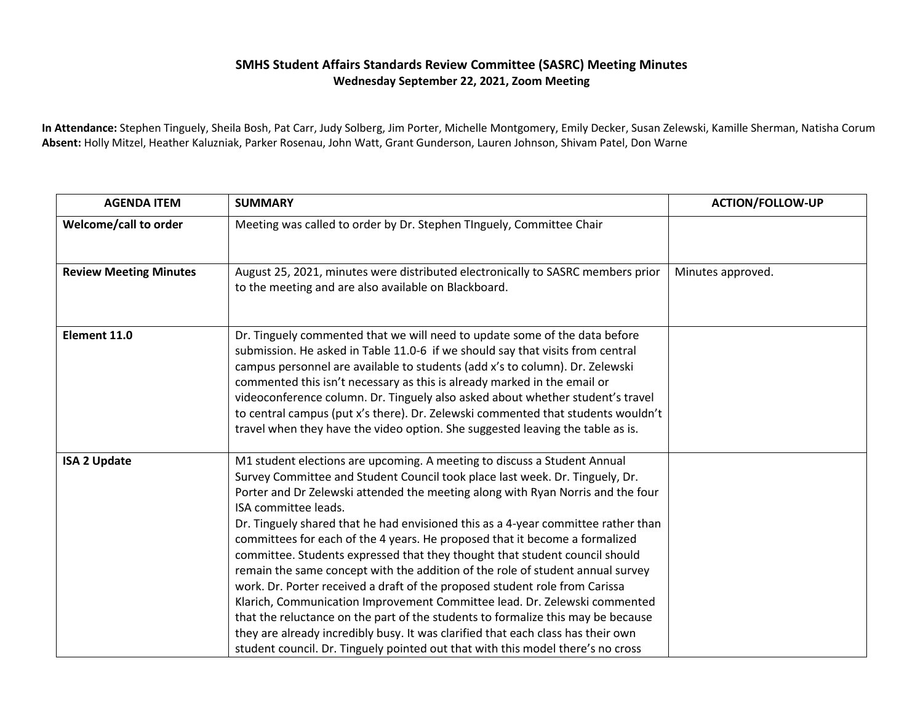## **SMHS Student Affairs Standards Review Committee (SASRC) Meeting Minutes Wednesday September 22, 2021, Zoom Meeting**

**In Attendance:** Stephen Tinguely, Sheila Bosh, Pat Carr, Judy Solberg, Jim Porter, Michelle Montgomery, Emily Decker, Susan Zelewski, Kamille Sherman, Natisha Corum **Absent:** Holly Mitzel, Heather Kaluzniak, Parker Rosenau, John Watt, Grant Gunderson, Lauren Johnson, Shivam Patel, Don Warne

| <b>AGENDA ITEM</b>            | <b>SUMMARY</b>                                                                                                                                                       | <b>ACTION/FOLLOW-UP</b> |
|-------------------------------|----------------------------------------------------------------------------------------------------------------------------------------------------------------------|-------------------------|
| Welcome/call to order         | Meeting was called to order by Dr. Stephen TInguely, Committee Chair                                                                                                 |                         |
|                               |                                                                                                                                                                      |                         |
| <b>Review Meeting Minutes</b> | August 25, 2021, minutes were distributed electronically to SASRC members prior<br>to the meeting and are also available on Blackboard.                              | Minutes approved.       |
|                               |                                                                                                                                                                      |                         |
| Element 11.0                  | Dr. Tinguely commented that we will need to update some of the data before                                                                                           |                         |
|                               | submission. He asked in Table 11.0-6 if we should say that visits from central                                                                                       |                         |
|                               | campus personnel are available to students (add x's to column). Dr. Zelewski<br>commented this isn't necessary as this is already marked in the email or             |                         |
|                               | videoconference column. Dr. Tinguely also asked about whether student's travel                                                                                       |                         |
|                               | to central campus (put x's there). Dr. Zelewski commented that students wouldn't                                                                                     |                         |
|                               | travel when they have the video option. She suggested leaving the table as is.                                                                                       |                         |
| <b>ISA 2 Update</b>           | M1 student elections are upcoming. A meeting to discuss a Student Annual                                                                                             |                         |
|                               | Survey Committee and Student Council took place last week. Dr. Tinguely, Dr.                                                                                         |                         |
|                               | Porter and Dr Zelewski attended the meeting along with Ryan Norris and the four<br>ISA committee leads.                                                              |                         |
|                               | Dr. Tinguely shared that he had envisioned this as a 4-year committee rather than                                                                                    |                         |
|                               | committees for each of the 4 years. He proposed that it become a formalized                                                                                          |                         |
|                               | committee. Students expressed that they thought that student council should                                                                                          |                         |
|                               | remain the same concept with the addition of the role of student annual survey                                                                                       |                         |
|                               | work. Dr. Porter received a draft of the proposed student role from Carissa                                                                                          |                         |
|                               | Klarich, Communication Improvement Committee lead. Dr. Zelewski commented                                                                                            |                         |
|                               | that the reluctance on the part of the students to formalize this may be because<br>they are already incredibly busy. It was clarified that each class has their own |                         |
|                               | student council. Dr. Tinguely pointed out that with this model there's no cross                                                                                      |                         |